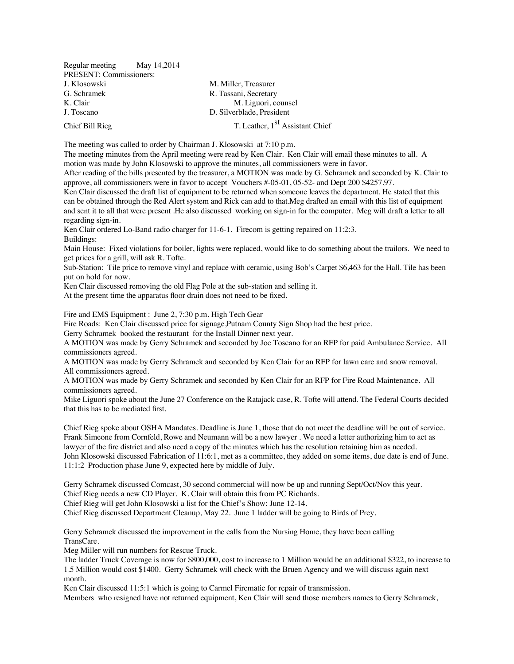| Regular meeting May 14,2014 |                                             |
|-----------------------------|---------------------------------------------|
| PRESENT: Commissioners:     |                                             |
| J. Klosowski                | M. Miller, Treasurer                        |
| G. Schramek                 | R. Tassani, Secretary                       |
| K. Clair                    | M. Liguori, counsel                         |
| J. Toscano                  | D. Silverblade, President                   |
| Chief Bill Rieg             | T. Leather, 1 <sup>st</sup> Assistant Chief |

The meeting was called to order by Chairman J. Klosowski at 7:10 p.m.

The meeting minutes from the April meeting were read by Ken Clair. Ken Clair will email these minutes to all. A motion was made by John Klosowski to approve the minutes, all commissioners were in favor.

After reading of the bills presented by the treasurer, a MOTION was made by G. Schramek and seconded by K. Clair to approve, all commissioners were in favor to accept Vouchers #-05-01, 05-52- and Dept 200 \$4257.97.

Ken Clair discussed the draft list of equipment to be returned when someone leaves the department. He stated that this can be obtained through the Red Alert system and Rick can add to that.Meg drafted an email with this list of equipment and sent it to all that were present .He also discussed working on sign-in for the computer. Meg will draft a letter to all regarding sign-in.

Ken Clair ordered Lo-Band radio charger for 11-6-1. Firecom is getting repaired on 11:2:3. Buildings:

Main House: Fixed violations for boiler, lights were replaced, would like to do something about the trailors. We need to get prices for a grill, will ask R. Tofte.

Sub-Station: Tile price to remove vinyl and replace with ceramic, using Bob's Carpet \$6,463 for the Hall. Tile has been put on hold for now.

Ken Clair discussed removing the old Flag Pole at the sub-station and selling it.

At the present time the apparatus floor drain does not need to be fixed.

Fire and EMS Equipment : June 2, 7:30 p.m. High Tech Gear

Fire Roads: Ken Clair discussed price for signage,Putnam County Sign Shop had the best price.

Gerry Schramek booked the restaurant for the Install Dinner next year.

A MOTION was made by Gerry Schramek and seconded by Joe Toscano for an RFP for paid Ambulance Service. All commissioners agreed.

A MOTION was made by Gerry Schramek and seconded by Ken Clair for an RFP for lawn care and snow removal. All commissioners agreed.

A MOTION was made by Gerry Schramek and seconded by Ken Clair for an RFP for Fire Road Maintenance. All commissioners agreed.

Mike Liguori spoke about the June 27 Conference on the Ratajack case, R. Tofte will attend. The Federal Courts decided that this has to be mediated first.

Chief Rieg spoke about OSHA Mandates. Deadline is June 1, those that do not meet the deadline will be out of service. Frank Simeone from Cornfeld, Rowe and Neumann will be a new lawyer . We need a letter authorizing him to act as lawyer of the fire district and also need a copy of the minutes which has the resolution retaining him as needed. John Klosowski discussed Fabrication of 11:6:1, met as a committee, they added on some items, due date is end of June. 11:1:2 Production phase June 9, expected here by middle of July.

Gerry Schramek discussed Comcast, 30 second commercial will now be up and running Sept/Oct/Nov this year.

Chief Rieg needs a new CD Player. K. Clair will obtain this from PC Richards.

Chief Rieg will get John Klosowski a list for the Chief's Show: June 12-14.

Chief Rieg discussed Department Cleanup, May 22. June 1 ladder will be going to Birds of Prey.

Gerry Schramek discussed the improvement in the calls from the Nursing Home, they have been calling TransCare.

Meg Miller will run numbers for Rescue Truck.

The ladder Truck Coverage is now for \$800,000, cost to increase to 1 Million would be an additional \$322, to increase to 1.5 Million would cost \$1400. Gerry Schramek will check with the Bruen Agency and we will discuss again next month.

Ken Clair discussed 11:5:1 which is going to Carmel Firematic for repair of transmission.

Members who resigned have not returned equipment, Ken Clair will send those members names to Gerry Schramek,